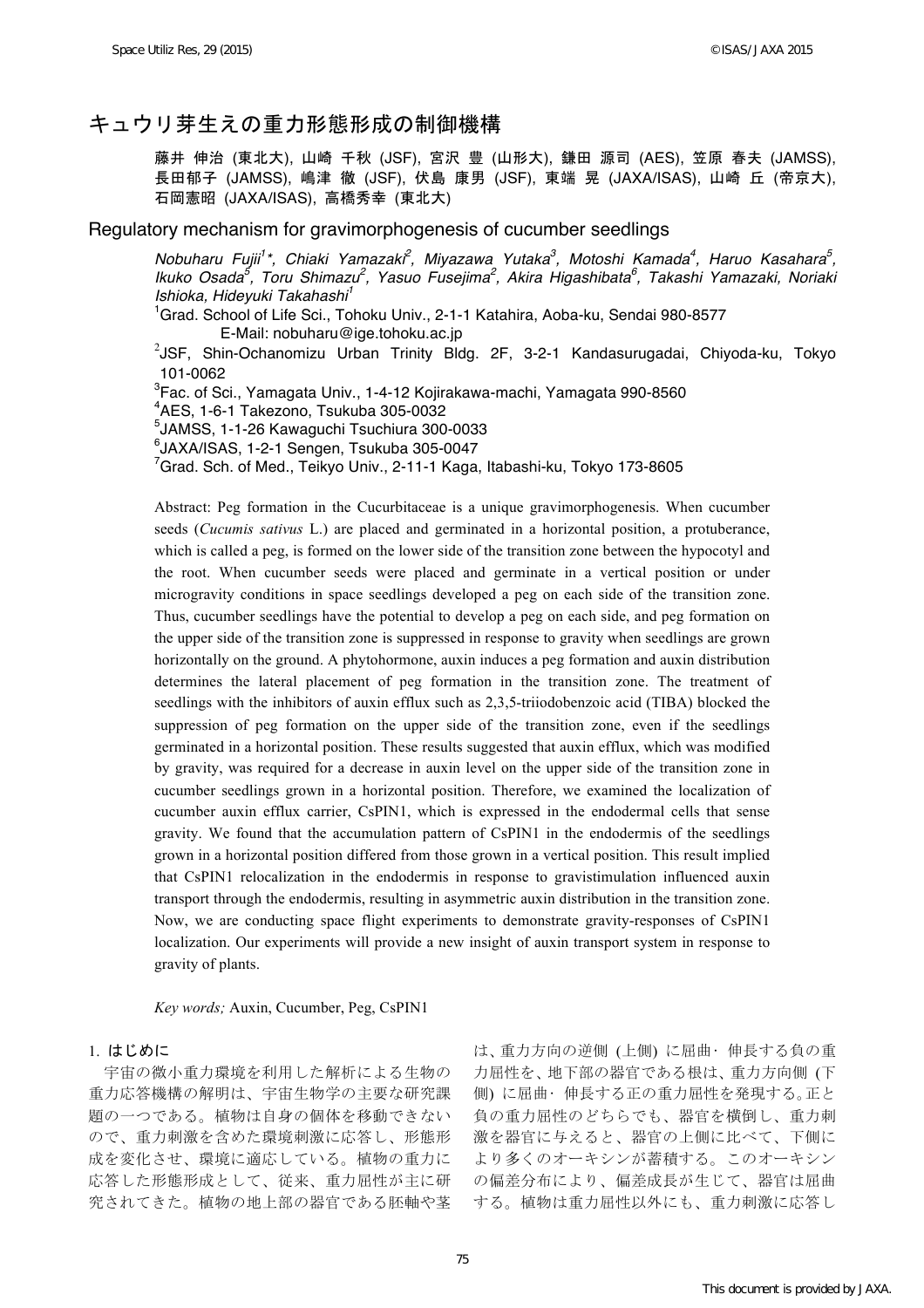# キュウリ芽生えの重力形態形成の制御機構

藤井 伸治 (東北大), 山崎 千秋 (JSF), 宮沢 豊 (山形大), 鎌田 源司 (AES), 笠原 春夫 (JAMSS), 長田郁子 (JAMSS), 嶋津 徹 (JSF), 伏島 康男 (JSF), 東端 晃 (JAXA/ISAS), 山崎 丘 (帝京大), 石岡憲昭 (JAXA/ISAS), 高橋秀幸 (東北大)

## Regulatory mechanism for gravimorphogenesis of cucumber seedlings

*Nobuharu Fujii<sup>1\*</sup>, Chiaki Yamazaki<sup>2</sup>, Miyazawa Yutaka<sup>3</sup>, Motoshi Kamada<sup>4</sup>, Haruo Kasahara<sup>5</sup>, Ikuko Osada<sup>5</sup> , Toru Shimazu<sup>2</sup> , Yasuo Fusejima<sup>2</sup> , Akira Higashibata<sup>6</sup> , Takashi Yamazaki, Noriaki Ishioka, Hideyuki Takahashi<sup>1</sup>*

<sup>1</sup>Grad. School of Life Sci., Tohoku Univ., 2-1-1 Katahira, Aoba-ku, Sendai 980-8577 E-Mail: nobuharu@ige.tohoku.ac.jp

 $^{2}$ JSF, Shin-Ochanomizu Urban Trinity Bldg. 2F, 3-2-1 Kandasurugadai, Chiyoda-ku, Tokyo 101-0062

 ${}^{3}$ Fac. of Sci., Yamagata Univ., 1-4-12 Kojirakawa-machi, Yamagata 990-8560

 $4$ AES, 1-6-1 Takezono, Tsukuba 305-0032

 $^5$ JAMSS, 1-1-26 Kawaguchi Tsuchiura 300-0033

<sup>6</sup>JAXA/ISAS, 1-2-1 Sengen, Tsukuba 305-0047<br><sup>7</sup>Cred, Seb. of Mod., Tsikve Univ., 2,11,1 Kege

Grad. Sch. of Med., Teikyo Univ., 2-11-1 Kaga, Itabashi-ku, Tokyo 173-8605

Abstract: Peg formation in the Cucurbitaceae is a unique gravimorphogenesis. When cucumber seeds (*Cucumis sativus* L.) are placed and germinated in a horizontal position, a protuberance, which is called a peg, is formed on the lower side of the transition zone between the hypocotyl and the root. When cucumber seeds were placed and germinate in a vertical position or under microgravity conditions in space seedlings developed a peg on each side of the transition zone. Thus, cucumber seedlings have the potential to develop a peg on each side, and peg formation on the upper side of the transition zone is suppressed in response to gravity when seedlings are grown horizontally on the ground. A phytohormone, auxin induces a peg formation and auxin distribution determines the lateral placement of peg formation in the transition zone. The treatment of seedlings with the inhibitors of auxin efflux such as 2,3,5-triiodobenzoic acid (TIBA) blocked the suppression of peg formation on the upper side of the transition zone, even if the seedlings germinated in a horizontal position. These results suggested that auxin efflux, which was modified by gravity, was required for a decrease in auxin level on the upper side of the transition zone in cucumber seedlings grown in a horizontal position. Therefore, we examined the localization of cucumber auxin efflux carrier, CsPIN1, which is expressed in the endodermal cells that sense gravity. We found that the accumulation pattern of CsPIN1 in the endodermis of the seedlings grown in a horizontal position differed from those grown in a vertical position. This result implied that CsPIN1 relocalization in the endodermis in response to gravistimulation influenced auxin transport through the endodermis, resulting in asymmetric auxin distribution in the transition zone. Now, we are conducting space flight experiments to demonstrate gravity-responses of CsPIN1 localization. Our experiments will provide a new insight of auxin transport system in response to gravity of plants.

*Key words;* Auxin, Cucumber, Peg, CsPIN1

### 1. はじめに

宇宙の微小重力環境を利用した解析による生物の 重力応答機構の解明は、宇宙生物学の主要な研究課 題の一つである。植物は自身の個体を移動できない ので、重力刺激を含めた環境刺激に応答し、形態形 成を変化させ、環境に適応している。植物の重力に 応答した形態形成として、従来、重力屈性が主に研 究されてきた。植物の地上部の器官である胚軸や茎

は、重力方向の逆側 (上側) に屈曲• 伸長する負の重 力屈性を、地下部の器官である根は、重力方向側 (下 側) に屈曲• 伸長する正の重力屈性を発現する。正と 負の重力屈性のどちらでも、器官を横倒し、重力刺 激を器官に与えると、器官の上側に比べて、下側に より多くのオーキシンが蓄積する。このオーキシン の偏差分布により、偏差成長が生じて、器官は屈曲 する。植物は重力屈性以外にも、重力刺激に応答し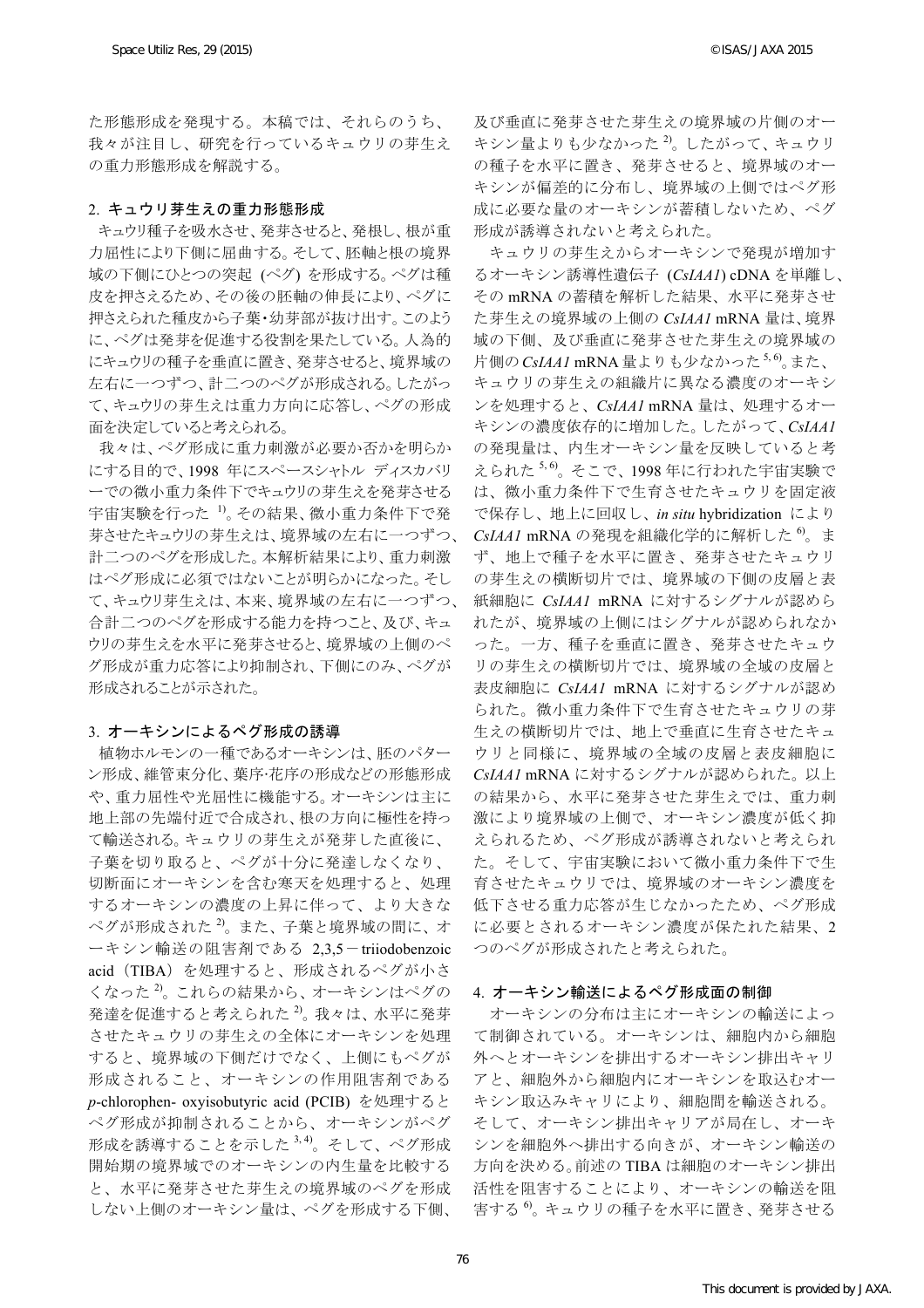た形態形成を発現する。本稿では、それらのうち、 我々が注目し、研究を行っているキュウリの芽生え の重力形態形成を解説する。

#### 2. キュウリ芽生えの重力形態形成

キュウリ種子を吸水させ、発芽させると、発根し、根が重 力屈性により下側に屈曲する。そして、胚軸と根の境界 域の下側にひとつの突起 (ペグ) を形成する。ペグは種 皮を押さえるため、その後の胚軸の伸長により、ペグに 押さえられた種皮から子葉・幼芽部が抜け出す。このよう に、ペグは発芽を促進する役割を果たしている。人為的 にキュウリの種子を垂直に置き、発芽させると、境界域の 左右に一つずつ、計二つのペグが形成される。したがっ て、キュウリの芽生えは重力方向に応答し、ペグの形成 面を決定していると考えられる。

我々は、ペグ形成に重力刺激が必要か否かを明らか にする目的で、1998 年にスペースシャトル ディスカバリ ーでの微小重力条件下でキュウリの芽生えを発芽させる 宇宙実験を行った 1)。その結果、微小重力条件下で発 芽させたキュウリの芽生えは、境界域の左右に一つずつ、 計二つのペグを形成した。本解析結果により、重力刺激 はペグ形成に必須ではないことが明らかになった。そし て、キュウリ芽生えは、本来、境界域の左右に一つずつ、 合計二つのペグを形成する能力を持つこと、及び、キュ ウリの芽生えを水平に発芽させると、境界域の上側のペ グ形成が重力応答により抑制され、下側にのみ、ペグが 形成されることが示された。

#### 3. オーキシンによるペグ形成の誘導

植物ホルモンの一種であるオーキシンは、胚のパター ン形成、維管束分化、葉序•花序の形成などの形態形成 や、重力屈性や光屈性に機能する。オーキシンは主に 地上部の先端付近で合成され、根の方向に極性を持っ て輸送される。キュウリの芽生えが発芽した直後に、 子葉を切り取ると、ペグが十分に発達しなくなり、 切断面にオーキシンを含む寒天を処理すると、処理 するオーキシンの濃度の上昇に伴って、より大きな ペグが形成された 2)。また、子葉と境界域の間に、オ ーキシン輸送の阻害剤である 2,3,5-triiodobenzoic acid(TIBA)を処理すると、形成されるペグが小さ くなった 2)。これらの結果から、オーキシンはペグの 発達を促進すると考えられた $^{2}$ 。我々は、水平に発芽 させたキュウリの芽生えの全体にオーキシンを処理 すると、境界域の下側だけでなく、上側にもペグが 形成されること、オーキシンの作用阻害剤である *p*-chlorophen- oxyisobutyric acid (PCIB) を処理すると ペグ形成が抑制されることから、オーキシンがペグ 形成を誘導することを示した 3,4)。そして、ペグ形成 開始期の境界域でのオーキシンの内生量を比較する と、水平に発芽させた芽生えの境界域のペグを形成 しない上側のオーキシン量は、ペグを形成する下側、

及び垂直に発芽させた芽生えの境界域の片側のオー キシン量よりも少なかった<sup>2</sup>。したがって、キュウリ の種子を水平に置き、発芽させると、境界域のオー キシンが偏差的に分布し、境界域の上側ではペグ形 成に必要な量のオーキシンが蓄積しないため、ペグ 形成が誘導されないと考えられた。

キュウリの芽生えからオーキシンで発現が増加す るオーキシン誘導性遺伝子 (*CsIAA1*) cDNA を単離し、 その mRNA の蓄積を解析した結果、水平に発芽させ た芽生えの境界域の上側の *CsIAA1* mRNA 量は、境界 域の下側、及び垂直に発芽させた芽生えの境界域の 片側の*CsIAA1* mRNA 量よりも少なかった<sup>5,6</sup>。また、 キュウリの芽生えの組織片に異なる濃度のオーキシ ンを処理すると、*CsIAA1* mRNA 量は、処理するオー キシンの濃度依存的に増加した。したがって、*CsIAA1* の発現量は、内生オーキシン量を反映していると考 えられた 5, 6)。そこで、1998 年に行われた宇宙実験で は、微小重力条件下で生育させたキュウリを固定液 で保存し、地上に回収し、*in situ* hybridization により *CsIAA1* mRNA の発現を組織化学的に解析した 6)。ま ず、地上で種子を水平に置き、発芽させたキュウリ の芽生えの横断切片では、境界域の下側の皮層と表 紙細胞に *CsIAA1* mRNA に対するシグナルが認めら れたが、境界域の上側にはシグナルが認められなか った。一方、種子を垂直に置き、発芽させたキュウ リの芽生えの横断切片では、境界域の全域の皮層と 表皮細胞に *CsIAA1* mRNA に対するシグナルが認め られた。微小重力条件下で生育させたキュウリの芽 生えの横断切片では、地上で垂直に生育させたキュ ウリと同様に、境界域の全域の皮層と表皮細胞に *CsIAA1* mRNA に対するシグナルが認められた。以上 の結果から、水平に発芽させた芽生えでは、重力刺 激により境界域の上側で、オーキシン濃度が低く抑 えられるため、ペグ形成が誘導されないと考えられ た。そして、宇宙実験において微小重力条件下で生 育させたキュウリでは、境界域のオーキシン濃度を 低下させる重力応答が生じなかったため、ペグ形成 に必要とされるオーキシン濃度が保たれた結果、2 つのペグが形成されたと考えられた。

#### 4. オーキシン輸送によるペグ形成面の制御

オーキシンの分布は主にオーキシンの輸送によっ て制御されている。オーキシンは、細胞内から細胞 外へとオーキシンを排出するオーキシン排出キャリ アと、細胞外から細胞内にオーキシンを取込むオー キシン取込みキャリにより、細胞間を輸送される。 そして、オーキシン排出キャリアが局在し、オーキ シンを細胞外へ排出する向きが、オーキシン輸送の 方向を決める。前述の TIBA は細胞のオーキシン排出 活性を阻害することにより、オーキシンの輸送を阻 害する 6)。キュウリの種子を水平に置き、発芽させる